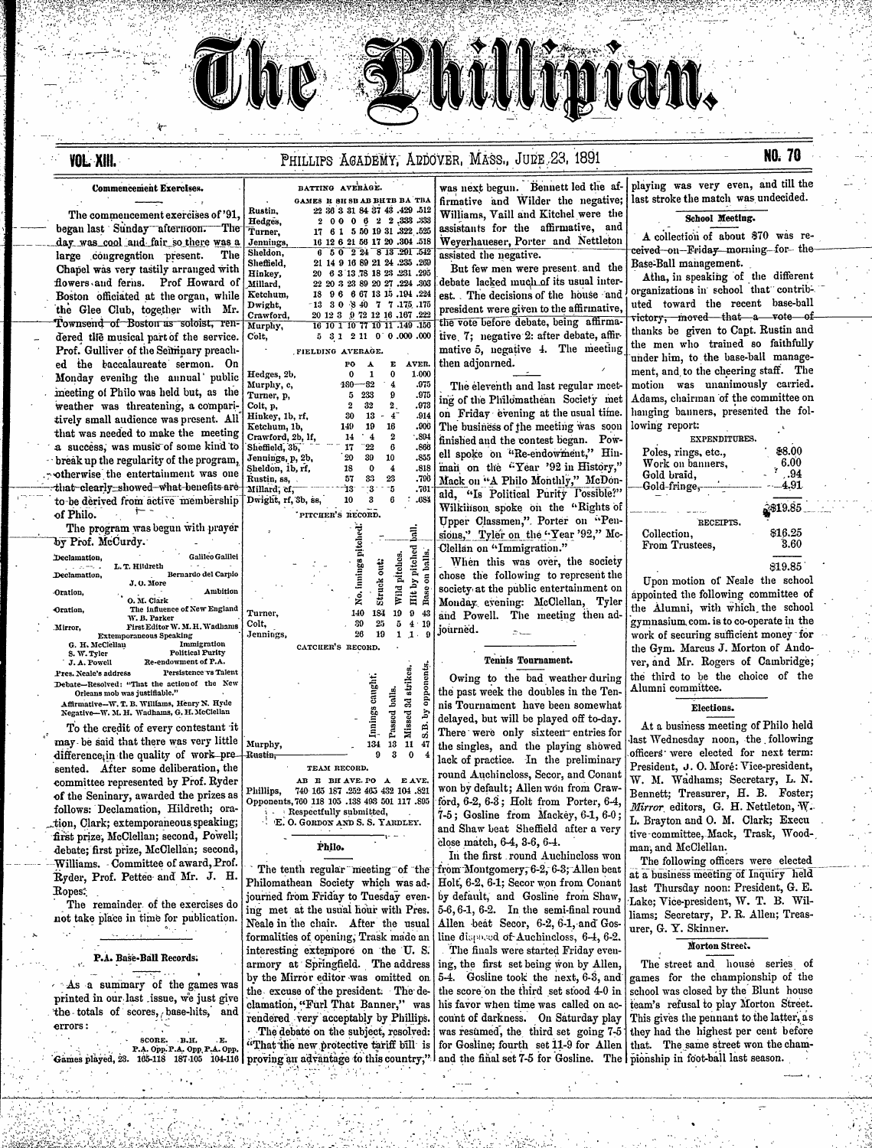# **YOL XIII.**

## PHILLIPS AGADEMY, ADDOVER, MASS., JUDE 23, 1891

# NO. 70

# The commencement exercises of '91 began last Sunday afternoon. The

**Commencement Exercises.** 

Turner day was cool and fair so there was a Jenning Sheldor large congregation present. The Sheffiel Chapel was very tastily arranged with Hinkey flowers and ferns. Prof Howard of Millard Boston officiated at the organ, while Ketchu Dwight the Glee Club, together with Mr. Crawfo Townsend of Boston as soloist, ren-Murphy Colt, dered the musical part of the service. Prof. Gulliver of the Seiminary preached the baccalaureate sermon. On Hed: Monday evening the annual' public Murp meeting of Philo was held but, as the Turn weather was threatening, a compari-Colt. Hink tively small audience was present. All that was needed to make the meeting Crawford, 2b, lf, a success, was music of some kind to Sheffield, 3b, Jennings, p, 2b, break up the regularity of the program, otherwise the entertainment was one that-clearly-showed-what-benefits are to be derived from active membership  $\tau$ of Philo.

The program was begun with prayer by Prof. McCurdy.  $\sim$ 

| Declamation.          | <b>Galileo Galilei</b>                       |       |
|-----------------------|----------------------------------------------|-------|
|                       | L. T. Hildreth                               |       |
| Declamation,          | Bernardo del Carpio                          |       |
|                       | J.O. More                                    |       |
| Oration.              | Ambition                                     |       |
|                       | O. M. Clark                                  |       |
| Oration.              | The influence of New England                 |       |
|                       | W. B. Parker                                 | Turn  |
| Mirror.               | First Editor W. M. H. Wadhams                | Colt. |
|                       | <b>Extemporaneous Speaking</b>               | Jenn  |
| G. H. McClellau       | Immigration                                  |       |
| S. W. Tyler           | <b>Political Purity</b>                      |       |
| J. A. Powell          | Re-endowment of P.A.                         |       |
| Pres. Neale's address | Persistence vs Talent                        |       |
|                       | Debate-Resolved: "That the action of the New |       |

Orleans mob was justifiable." Affirmative-W. T. B. Williams, Henry N. Hyde Negative-W. M. H. Wadhams, G. H. McClellan

To the credit of every contestant it may be said that there was very little difference, in the quality of work presented. After some deliberation, the committee represented by Prof. Ryder of the Seninary, awarded the prizes as follows: Declamation, Hildreth; oration, Clark; extemporaneous speaking; first prize, McClellan; second, Powell; debate; first prize, McClellan; second, Williams. Committee of award, Prof. Ryder, Prof. Pettee and Mr. J. H. Ropes:

The remainder of the exercises do not take place in time for publication.

### P.A. Base-Ball Records.

 $\sim$  As a summary of the games was printed in our last issue, we just give the totals of scores, base-hits, and errors:

> SCORE. B.H. P.A. Opp. P.A. Opp. P.A. Opp.

|                          | BATTING AVERAGE.             |  |  |  |  |  |  |                          |                               | ٧                       |
|--------------------------|------------------------------|--|--|--|--|--|--|--------------------------|-------------------------------|-------------------------|
|                          | GAMES R SH SB AB BHTB BA TBA |  |  |  |  |  |  |                          |                               | fi                      |
|                          |                              |  |  |  |  |  |  |                          | 22 36 3 31 84 37 43 .429 .512 | $\overline{I}$          |
| ۱,                       | $\mathbf{2}$                 |  |  |  |  |  |  |                          | 000062233333333               |                         |
| Ϊ.                       |                              |  |  |  |  |  |  |                          | 17 6 1 5 50 19 31 322 525     | a<br>İ                  |
| gs,                      |                              |  |  |  |  |  |  |                          | 16 12 6 21 56 17 20 .304 .518 |                         |
| 'n.                      |                              |  |  |  |  |  |  | 6 5 0 2 24 8 13 291 542  |                               | $\overline{\mathbf{a}}$ |
| d,                       |                              |  |  |  |  |  |  |                          | 21 14 9 16 89 21 24 .235 .269 |                         |
| ۰.                       |                              |  |  |  |  |  |  |                          | 20 6 3 13 78 18 23 231 295    |                         |
| $\overline{\phantom{a}}$ |                              |  |  |  |  |  |  |                          | 22 20 3 23 89 20 27 .224 .303 | d                       |
| m,                       |                              |  |  |  |  |  |  |                          | 18 9 6 6 67 13 15 .194 .224   | e                       |
| Ξ.                       |                              |  |  |  |  |  |  | $-13$ 30 840 7 7.175.175 |                               | p                       |
| rd,                      |                              |  |  |  |  |  |  |                          | 20 12 3 9 72 12 16 .167 .222  | τ                       |
| ñ.                       |                              |  |  |  |  |  |  |                          | 16 10 1 10 77 10 11 149 156   |                         |
|                          | 5.                           |  |  |  |  |  |  |                          | 3 1 2 11 0 0 000 000          | ť                       |

**Rustin** 

Hedges

|                 | FIELDING AVERAGE. |     |    |       |  |
|-----------------|-------------------|-----|----|-------|--|
|                 | РО                | A   | E  | AVER. |  |
| Hedges, 2b,     | Ω                 |     | 0  | 1.000 |  |
| Murphy, c,      | $180 - 82$        |     | 4  | .975  |  |
| Turner, p,      | 5                 | 233 | 9  | .975  |  |
| Colt, p.        | 2                 | 32  | 2. | .973  |  |
| Hinkey, 1b, rf, | 30                | 13  | 47 | .914  |  |
| Ketchum, 1b.    | 149               | 19  | 16 | .906  |  |

 $17 \,$  $-22$ 

 $20$ 

39

Sheldon, 1b, rf, 18  $\mathbf 0$  $\overline{\mathbf{4}}$ .818 33 23 Rustin, ss, 57 798. Ì3.  $\overline{\mathbf{3}}$ -5 "Millard", cf.  $.761$  $\boldsymbol{3}$ 6  ${\bf 10}$ Dwight, rf, 3b, ss, .384 PITCHER'S RECORD. ્તું<br>ન Turner. Jennings,

|                   |                        |   |              | CATCHER'S RECORD.        |                        |                      |                  |
|-------------------|------------------------|---|--------------|--------------------------|------------------------|----------------------|------------------|
|                   |                        |   |              | caught<br>Innings<br>134 | balls.<br>Passed<br>13 | 3d strikes<br>Missed | j<br>r<br>G<br>4 |
| rphy,             |                        |   |              |                          |                        | 11                   |                  |
| s <del>tin.</del> |                        |   |              | Ω                        | 3                      | 0                    |                  |
|                   |                        |   | TEAM RECORD. |                          |                        |                      |                  |
|                   | $\mathbf{A}\mathbf{B}$ | R | BII AVE. PO  |                          |                        | E AVE                |                  |

Mu

740 165 187 .252 465 432 104 .821 Phillips. Opponents, 760 118 105 .138 493 501 117 .895 Respectfully submitted,

E. O. GORDON AND S. S. YARDLEY. Philo.

The tenth regular meeting of the Philomathean Society which was adjourned from Friday to Tuesday evening met at the usual hour with Pres. Neale in the chair. After the usual formalities of opening, Trask made an interesting extempore on the U.S. the excuse of the president. The declamation, "Furl That Banner," was rendered very acceptably by Phillips. The debate on the subject, resolved: "That the new protective tariff bill is

vas next begun. Bennett led the afirmative and Wilder the negative; Williams, Vaill and Kitchel were the ssistants for the affirmative, and Veyerhaueser, Porter and Nettleton ssisted the negative.

But few men were present and the ebate lacked much of its usual interst. The decisions of the house and president were given to the affirmative, he vote before debate, being affirmaive 7; negative 2: after debate, affir mative 5, negative 4. The meeting then adjonmed.

The eleventh and last regular meeting of the Philomathean Society met on Friday evening at the usual time. The business of the meeting was soon finished and the contest began. Powell spoke on "Re-endowment," Hinman on the "Year '92 in History," Mack on "A Philo Monthly," McDonald, "Is Political Purity Possible?" Wilkinson spoke on the "Rights of Upper Classmen," Porter on "Pensions," Tyler on the "Year '92," Mcn on "Immigration."

en this was over, the society the following to represent the y at the public entertainment on ay evening: McClellan, Tyler Powell. The meeting then add.

#### Tennis Tournament.

ing to the bad weather during st week the doubles in the Tenurnament have been somewhat d, but will be played off to-day. were only sixteen entries for the singles, and the playing showed lack of practice. In the preliminary round Auchineloss, Secor, and Conant won by default; Allen won from Crawford, 6-2, 6-3; Holt from Porter, 6-4  $7-5$ ; Gosline from Mackey,  $6-1$ ,  $6-0$ ; and Shaw beat Sheffield after a very close match, 6-4, 3-6, 6-4.

In the first round Auchineloss won from Montgomery, 6-2, 6-3; Allen beat Holt, 6-2, 6-1; Secor won from Conant by default, and Gosline from Shaw,  $5-6, 6-1, 6-2$ . In the semi-final round Allen beat Secor, 6-2, 6-1, and Gosline disposed of Auchineloss, 6-4, 6-2.

The finals were started Friday evenarmory at Springfield. The address ing, the first set being won by Allen by the Mirror editor was omitted on  $5-4$ . Gosline took the next, 6-3, and the score on the third set stood  $4-0$  in his favor when time was called on account of darkness. On Saturday play was resumed, the third set going 7-5 for Gosline; fourth set 11-9 for Allen Games played, 28. 165-118 187-105 104-116 proving an advantage to this country," and the final set 7-5 for Gosline. The pionship in foot-ball last season.

playing was very even, and till the last stroke the match was undecided.

#### School Meeting.

A collection of about \$70 was reeived-on-Friday morning for the Base-Ball management.

Atha, in speaking of the different organizations in school that contributed toward the recent base-ball rictory, moved that a vote of thanks be given to Capt. Rustin and the men who trained so faithfully under him, to the base-ball management, and to the cheering staff. The motion was unanimously carried. Adams, chairman of the committee on hanging banners, presented the following report:

| EXPENDITURES.       |                    |
|---------------------|--------------------|
|                     |                    |
| Poles, rings, etc., | \$8.00             |
| Work on banners,    | 6.00               |
| Gold braid,         | .94                |
| Gold-fringe,        | 4.91               |
|                     |                    |
|                     | 819.85             |
| RECEIPTS.           |                    |
| Collection,         | $$16.25$<br>$3.60$ |
| From Trustees,      |                    |
|                     |                    |

\$19.85

Upon motion of Neale the school áppointed the following committee of the Alumni, with which the school gymnasium com. is to co-operate in the work of securing sufficient money for the Gym. Marcus J. Morton of Andover, and Mr. Rogers of Cambridge; the third to be the choice of the Alumni committee.

#### Elections.

At a business meeting of Philo held last Wednesday noon, the following officers were elected for next term: President, J. O. Moré: Vice-president, W. M. Wadhams; Secretary, L. N. Bennett; Treasurer, H. B. Foster; Mirror editors, G. H. Nettleton, W. L. Brayton and O. M. Clark; Execu tive-committee, Mack, Trask, Woodman, and McClellan.

The following officers were elected at a business meeting of Inquiry held last Thursday noon: President, G. E. Lake; Vice-president, W. T. B. Williams; Secretary, P. R. Allen; Treasurer, G. Y. Skinner.

#### Morton Street.

The street and house series of games for the championship of the school was closed by the Blunt house team's refusal to play Morton Street. This gives the pennant to the latter, as they had the highest per cent before that. The same street won the cham-

|         | No. innings pito<br>140<br>39<br>26 | <b>E</b> Struck out:<br>25<br>19 | o is Wild pitches.<br>1 | ∞ Hit by pitched<br>$\frac{4}{1}$ | the Base on balls.<br>10<br>9 | Clellar<br>Wh<br>chose<br>society<br>Monda<br>and F<br>journe |
|---------|-------------------------------------|----------------------------------|-------------------------|-----------------------------------|-------------------------------|---------------------------------------------------------------|
| rcuer's | RECORD.                             | Innings caught.                  | Passed balls.           | Missed 3d strikes.                | S.B. by opponents.            | Owi<br>the pas<br>nis To<br>delaye<br>There                   |

 $\boldsymbol{2}$ 

 $\bf 6$ 

10

.894

 $.866$ 

.855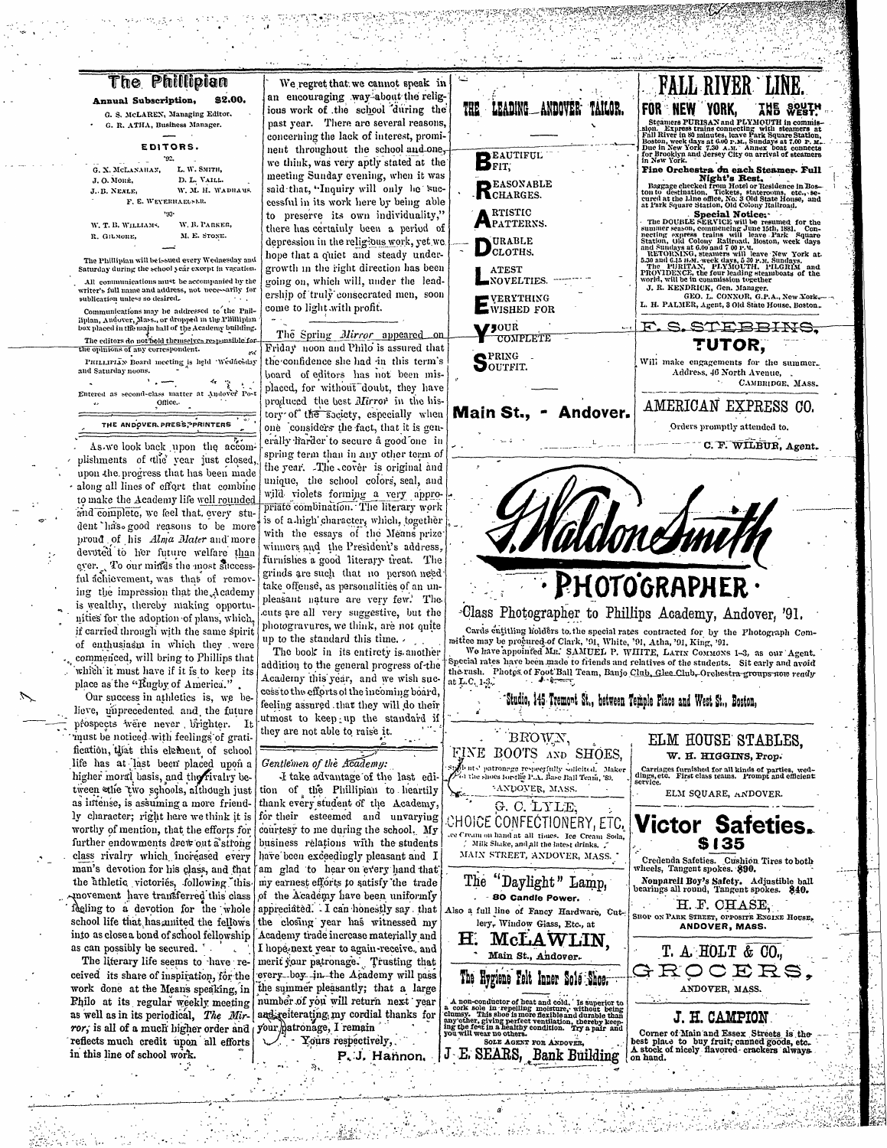| The Phillipian |  |  |
|----------------|--|--|
|                |  |  |

Annual Subscription, \$2.00 G. S. McLAREN, Managing Editor. G. R. ATHA, Business Manager.

EDITORS.

192. G. X. MCLANAHAN. L. W. SMITH, D. L. VAILL. J. O. MORR. J. B. NEXLE, W. M. H. WADHAMS F. E. WEYERHAEUSER W. T. B. WILLIAMS, W. B. PARKER,

M. E. STONE. R. GILMORE.

The Phillipian will be issued every Wednesday and Saturday during the school year except in vacation. All communications must be accompanied by the

writer's full name and address, not necessarily for publication unless so desired.

Communications may be addressed to the Philipian, Andover, Mass., or dropped in the Plillipian<br>box placed in the main hall of the Academy building. The editors do not hold themselves responsible for the opinions of any correspondent.

PHILIPIAN Board meeting is held Wednesday and Saturday noons.

Entered as second-class matter at Andover Post Office.

THE ANDOVER PRESS, PRINTERS

As we look back upon the accomplishments of the year just closed, upon the progress that has been made along all lines of effort that combine to make the Academy life well rounded and complete, we feel that, every student has good reasons to be more proud of his Alma Mater and more devoted to her future welfare than cyer. To our minds the most successful achievement, was that of removing the impression that the Academy is wealthy, thereby making opportunities for the adoption of plans, which, if carried through with the same spirit of enthusiasm in which they were commenced, will bring to Phillips that which it must have if it is to keep its place as the "Rugby of America.".

Our success in athletics is, we believe, unprecedented and the future prospects were never brighter. It must be noticed with feelings of gratification, that this element of school life has at last been placed upon a higher moral basis, and the rivalry between ethe two schools, although just as intense, is assuming a more friendly character; right here we think it is worthy of mention, that the efforts for further endowments drew out a strong class rivalry which increased every man's devotion for his class, and that the athletic victories, following this movement have transferred this class feeling to a devotion for the whole school life that has anited the fellows the closing year has witnessed my into as close a bond of school fellowship | Academy trade increase materially and as can possibly be secured. ".

The literary life seems to have received its share of inspiration, for the work done at the Means speaking, in Philo at its regular weekly meeting as well as in its periodical, The Mirror, is all of a much higher order and reflects much credit upon all efforts in this line of school work.

We regret that we cannot speak in an encouraging way about the religious work of the school during the past year. There are several reasons, concerning the lack of interest, prominent throughout the school and one, we think, was very aptly stated at the meeting Sunday evening, when it was said that, "Inquiry will only he successful in its work here by being able to preserve its own individuality," there has certainly been a period of depression in the religious work, yet we hope that a quiet and steady undergrowth in the right direction has been going on, which will, under the leadership of truly consecrated men, soon come to light with profit.

The Spring Mirror appeared on Friday noon and Philo is assured that the confidence she had in this term's board of editors has not been misplaced, for without doubt, they have produced the best *Mirror* in the history of the society, especially when one considers the fact, that it is generally frarder to secure a good one in spring term than in any other term of the year. The cover is original and unique, the school colors, seal, and wild violets forming a very appropriate combination. The literary work is of a high character, which, together with the essays of the Means prize winners and the President's address, furnishes a good literary treat. The grinds are such that no person need take offense, as personalities of an unpleasant nature are very few.' The cuts are all very suggestive, but the photogravures, we think, are not quite up to the standard this time.

The book in its entirety is another addition to the general progress of the Academy this year, and we wish success to the efforts of the incoming board, feeling assured that they will do their utmost to keep up the standard if they are not able to raise it.

#### Gentlemen of the Academy:

I take advantage of the last edition of the Phillipian to heartily thank every student of the Academy, for their esteemed and unvarying courtesy to me during the school. My business relations with the students have been exceedingly pleasant and I am glad to hear on every hand that my earnest efforts to satisfy the trade of the Academy have been uniformly appreciated. I can honestly say that I hope-next year to again-receive, and merit your patronage. Trusting that every boy in the Academy will pass the summer pleasantly; that a large number of you will return next year and reiterating my cordial thanks for your patronage, I remain

 $\frac{1}{4}$  - Yours respectively,

 $\mathcal{L}$ 

 $\mathcal{P}_{\mathcal{A}}$ 

P.J. Hannon.



10. : 16. Se 32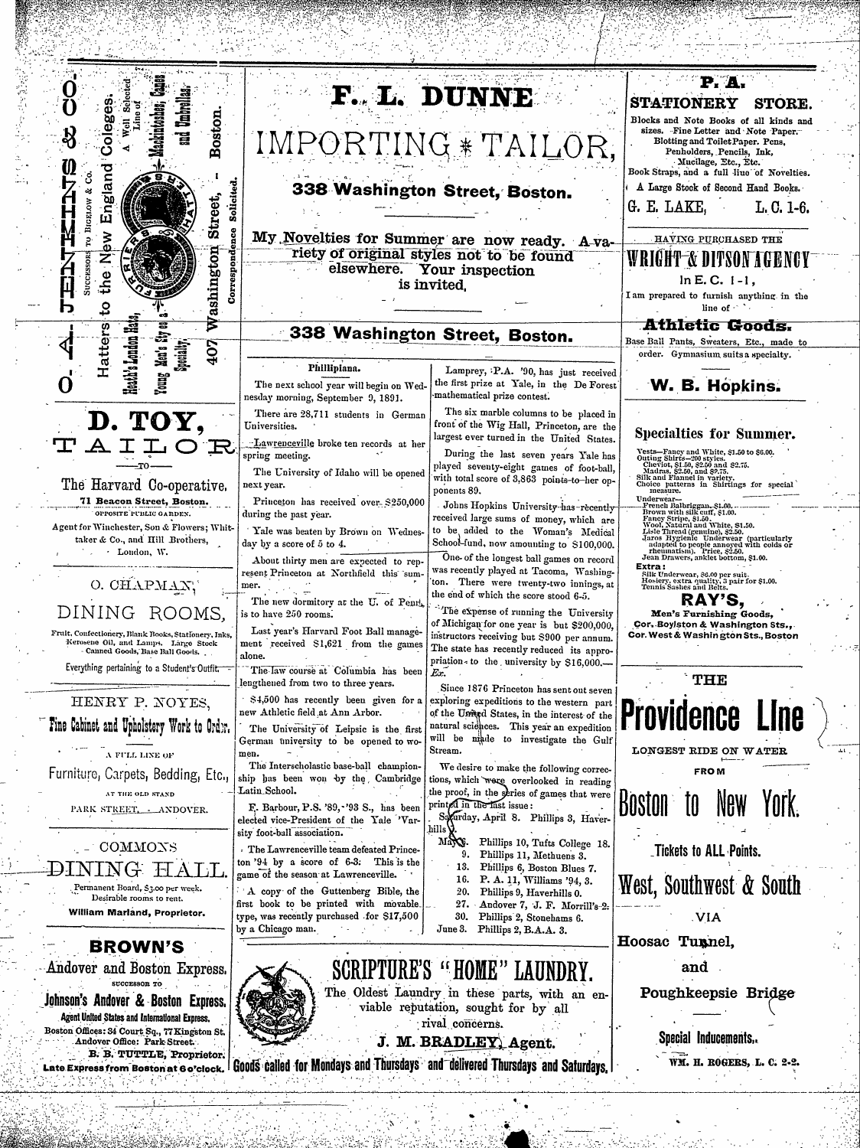